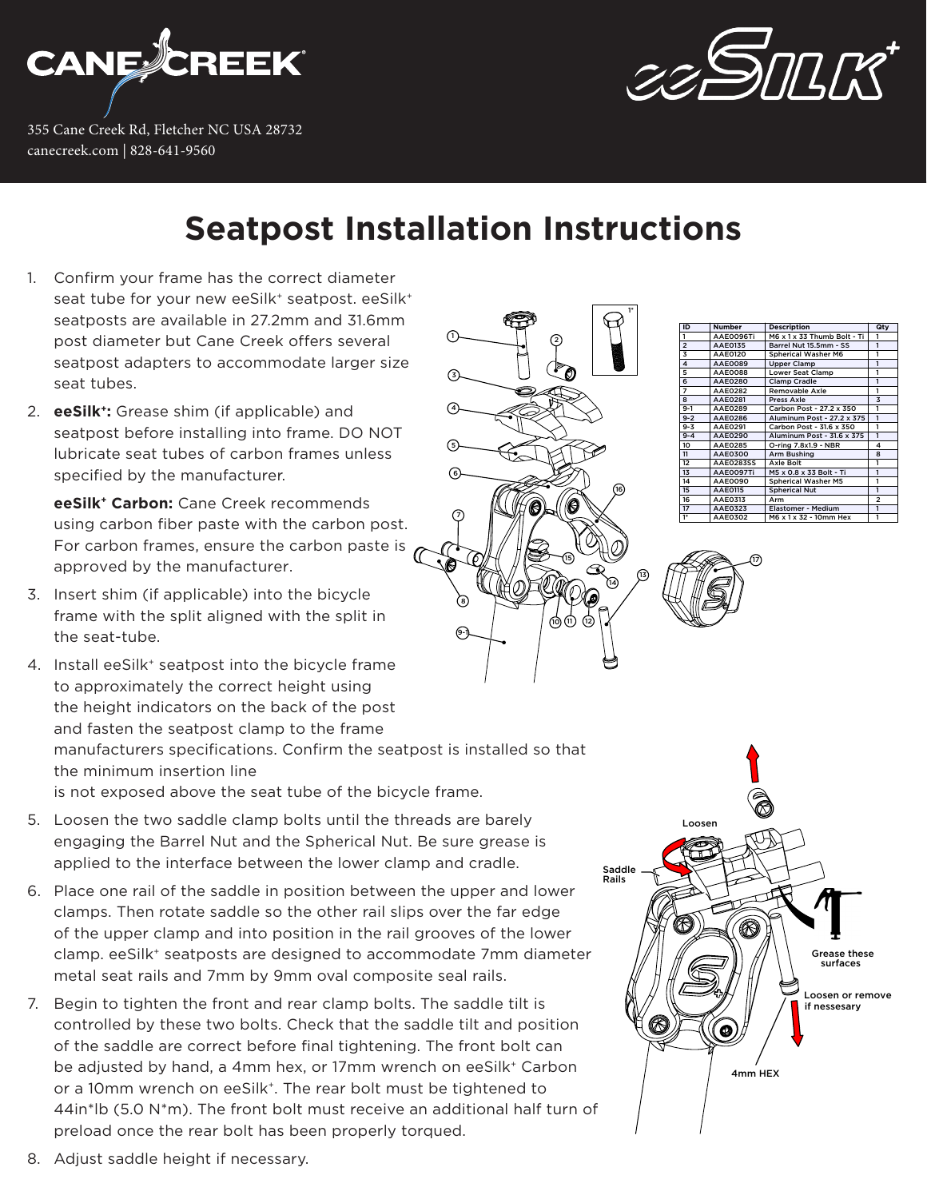

355 Cane Creek Rd, Fletcher NC USA 28732 canecreek.com | 828-641-9560



## **Seatpost Installation Instructions**

7

5

4

3

1

 $\sqrt{6}$ 

8

9-1

- 1. Confirm your frame has the correct diameter seat tube for your new eeSilk<sup>+</sup> seatpost. eeSilk<sup>+</sup> seatposts are available in 27.2mm and 31.6mm post diameter but Cane Creek offers several seatpost adapters to accommodate larger size seat tubes.
- 2. **eeSilk+:** Grease shim (if applicable) and seatpost before installing into frame. DO NOT lubricate seat tubes of carbon frames unless specified by the manufacturer.

**eeSilk+ Carbon:** Cane Creek recommends using carbon fiber paste with the carbon post. For carbon frames, ensure the carbon paste is  $\sigma$ approved by the manufacturer.

- 3. Insert shim (if applicable) into the bicycle frame with the split aligned with the split in the seat-tube.
- 4. Install eeSilk<sup>+</sup> seatpost into the bicycle frame to approximately the correct height using the height indicators on the back of the post and fasten the seatpost clamp to the frame manufacturers specifications. Confirm the seatpost is installed so that the minimum insertion line is not exposed above the seat tube of the bicycle frame.
- 5. Loosen the two saddle clamp bolts until the threads are barely engaging the Barrel Nut and the Spherical Nut. Be sure grease is applied to the interface between the lower clamp and cradle.
- 6. Place one rail of the saddle in position between the upper and lower clamps. Then rotate saddle so the other rail slips over the far edge of the upper clamp and into position in the rail grooves of the lower clamp. eeSilk+ seatposts are designed to accommodate 7mm diameter metal seat rails and 7mm by 9mm oval composite seal rails.
- 7. Begin to tighten the front and rear clamp bolts. The saddle tilt is controlled by these two bolts. Check that the saddle tilt and position of the saddle are correct before final tightening. The front bolt can be adjusted by hand, a 4mm hex, or 17mm wrench on eeSilk<sup>+</sup> Carbon or a 10mm wrench on eeSilk<sup>+</sup>. The rear bolt must be tightened to 44in\*lb (5.0 N\*m). The front bolt must receive an additional half turn of preload once the rear bolt has been properly torqued.





8. Adjust saddle height if necessary.